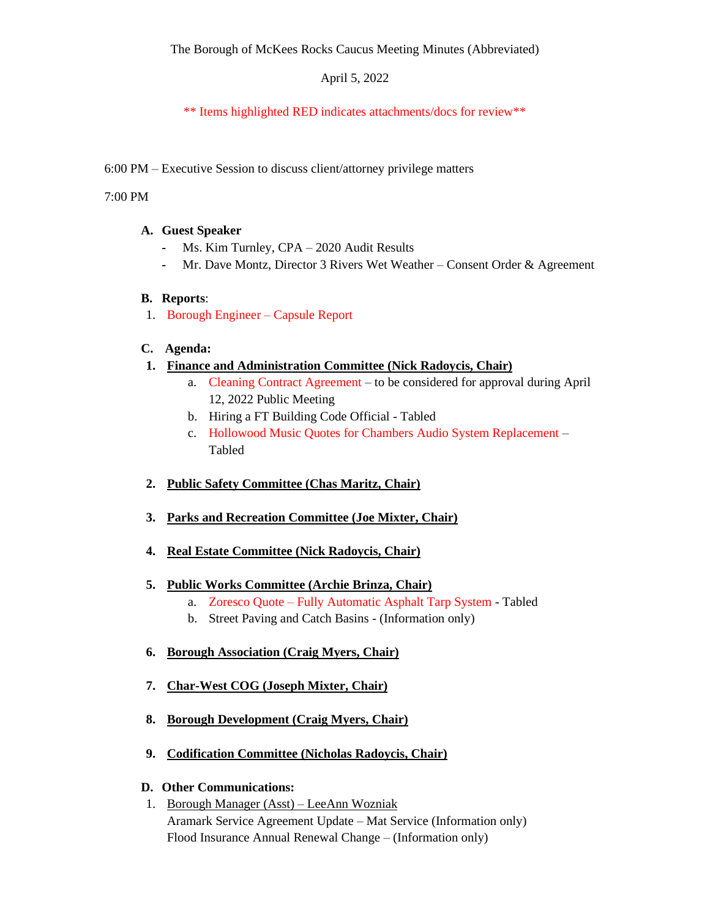# April 5, 2022

# \*\* Items highlighted RED indicates attachments/docs for review\*\*

# 6:00 PM – Executive Session to discuss client/attorney privilege matters

#### 7:00 PM

## **A. Guest Speaker**

- **-** Ms. Kim Turnley, CPA 2020 Audit Results
- **-** Mr. Dave Montz, Director 3 Rivers Wet Weather Consent Order & Agreement

## **B. Reports**:

1. Borough Engineer – Capsule Report

## **C. Agenda:**

- **1. Finance and Administration Committee (Nick Radoycis, Chair)**
	- a. Cleaning Contract Agreement to be considered for approval during April 12, 2022 Public Meeting
	- b. Hiring a FT Building Code Official Tabled
	- c. Hollowood Music Quotes for Chambers Audio System Replacement Tabled
- **2. Public Safety Committee (Chas Maritz, Chair)**
- **3. Parks and Recreation Committee (Joe Mixter, Chair)**
- **4. Real Estate Committee (Nick Radoycis, Chair)**
- **5. Public Works Committee (Archie Brinza, Chair)**
	- a. Zoresco Quote Fully Automatic Asphalt Tarp System Tabled
	- b. Street Paving and Catch Basins (Information only)
- **6. Borough Association (Craig Myers, Chair)**
- **7. Char-West COG (Joseph Mixter, Chair)**
- **8. Borough Development (Craig Myers, Chair)**
- **9. Codification Committee (Nicholas Radoycis, Chair)**

## **D. Other Communications:**

1. Borough Manager (Asst) – LeeAnn Wozniak Aramark Service Agreement Update – Mat Service (Information only) Flood Insurance Annual Renewal Change – (Information only)